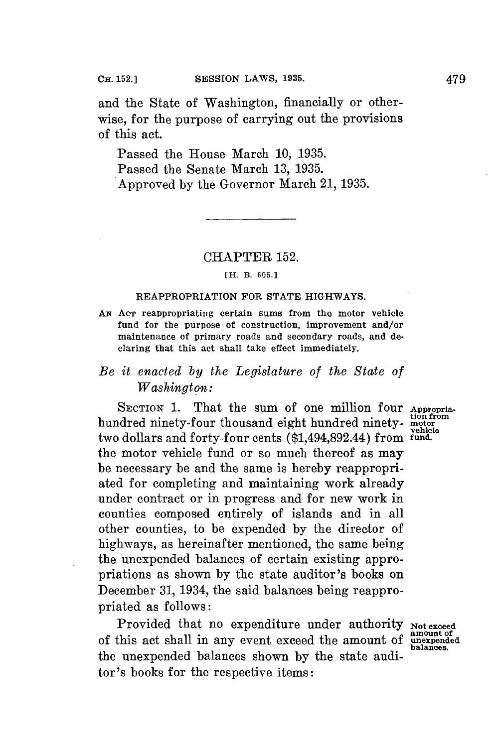and the State of Washington, financially or otherwise, for the purpose of carrying out the provisions of this act.

Passed the House March **10, 1935.** Passed the Senate March **13, 1935.** Approved **by** the Governor March 21, **1935.**

## CHAPTER **152.**

#### **[H.** B. 605.]

### **REAPPROPRIATION FOR STATE HIGHWAYS.**

**AN AcT reappropriating certain sums from the motor vehicle fund for the purpose of construction, improvement and/or maintenance of primary roads and secondary roads, and declaring that this act shall take effect immediately.**

# *Be it enacted by the Legislature of the State of Washington:*

**SECTION 1.** That the **sum of** one million four **Appropria. tion from** hundred ninety-four thousand eight hundred ninety- **motor** two dollars and forty-four cents (\$1,494,892.44) from the motor vehicle fund or so much thereof as may be necessary be and the same is hereby reappropriated for completing and maintaining work already under contract or in progress and for new work in counties composed entirely of islands and in all other counties, to be expended **by** the director of highways, as hereinafter mentioned, the same being the unexpended balances of certain existing appropriations as shown **by** the state auditor's books on December **31,** 1934, the said balances being reappropriated as follows:

Provided that no expenditure under authority Not exceed of this act shall in any event exceed the amount of **unexpended** the unexpended balances shown **by** the state auditor's books for the respective items:

balances.

**vehicle**